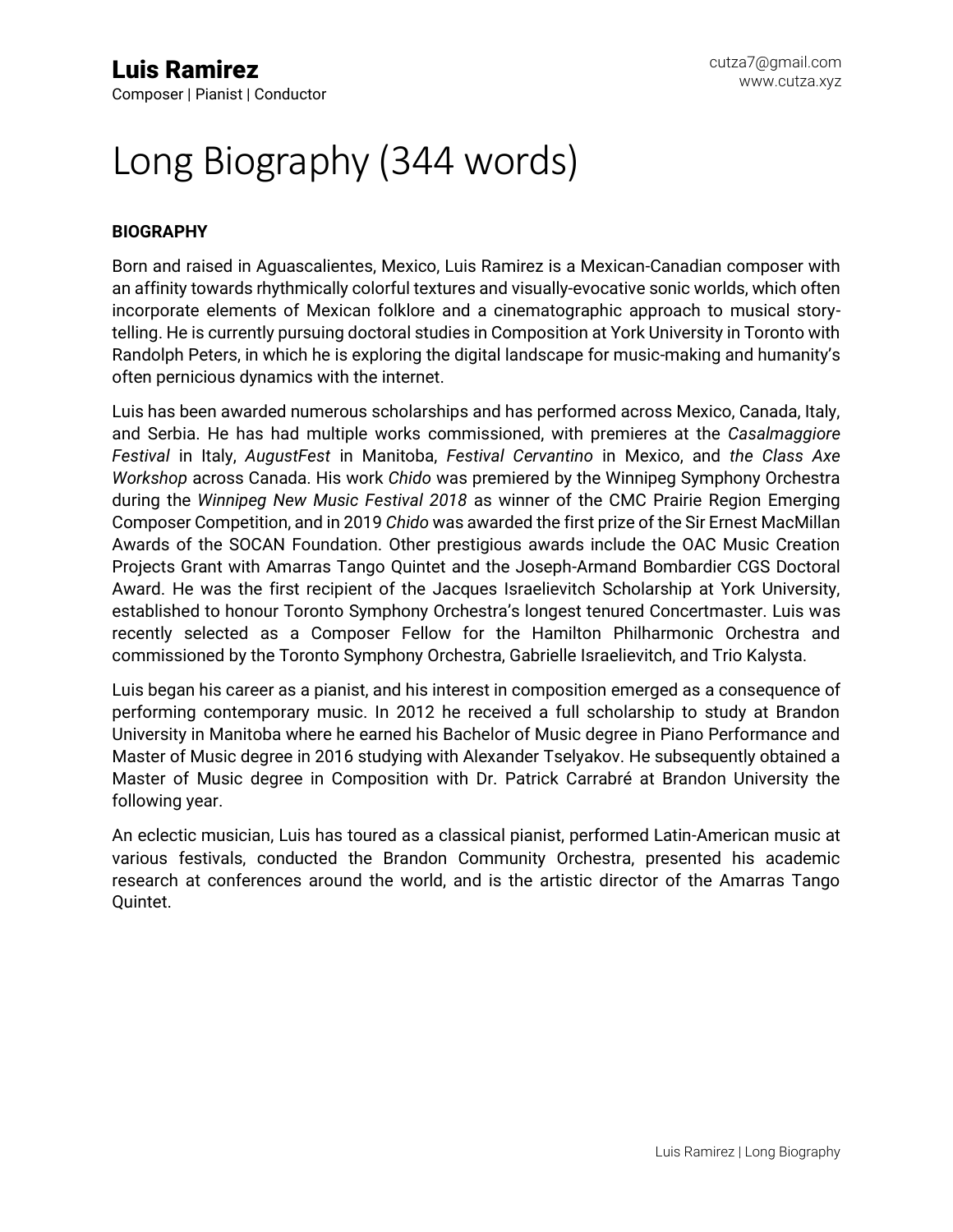# Long Biography (344 words)

#### **BIOGRAPHY**

Born and raised in Aguascalientes, Mexico, Luis Ramirez is a Mexican-Canadian composer with an affinity towards rhythmically colorful textures and visually-evocative sonic worlds, which often incorporate elements of Mexican folklore and a cinematographic approach to musical storytelling. He is currently pursuing doctoral studies in Composition at York University in Toronto with Randolph Peters, in which he is exploring the digital landscape for music-making and humanity's often pernicious dynamics with the internet.

Luis has been awarded numerous scholarships and has performed across Mexico, Canada, Italy, and Serbia. He has had multiple works commissioned, with premieres at the *Casalmaggiore Festival* in Italy, *AugustFest* in Manitoba, *Festival Cervantino* in Mexico, and *the Class Axe Workshop* across Canada. His work *Chido* was premiered by the Winnipeg Symphony Orchestra during the *Winnipeg New Music Festival 2018* as winner of the CMC Prairie Region Emerging Composer Competition, and in 2019 *Chido* was awarded the first prize of the Sir Ernest MacMillan Awards of the SOCAN Foundation. Other prestigious awards include the OAC Music Creation Projects Grant with Amarras Tango Quintet and the Joseph-Armand Bombardier CGS Doctoral Award. He was the first recipient of the Jacques Israelievitch Scholarship at York University, established to honour Toronto Symphony Orchestra's longest tenured Concertmaster. Luis was recently selected as a Composer Fellow for the Hamilton Philharmonic Orchestra and commissioned by the Toronto Symphony Orchestra, Gabrielle Israelievitch, and Trio Kalysta.

Luis began his career as a pianist, and his interest in composition emerged as a consequence of performing contemporary music. In 2012 he received a full scholarship to study at Brandon University in Manitoba where he earned his Bachelor of Music degree in Piano Performance and Master of Music degree in 2016 studying with Alexander Tselyakov. He subsequently obtained a Master of Music degree in Composition with Dr. Patrick Carrabré at Brandon University the following year.

An eclectic musician, Luis has toured as a classical pianist, performed Latin-American music at various festivals, conducted the Brandon Community Orchestra, presented his academic research at conferences around the world, and is the artistic director of the Amarras Tango Quintet.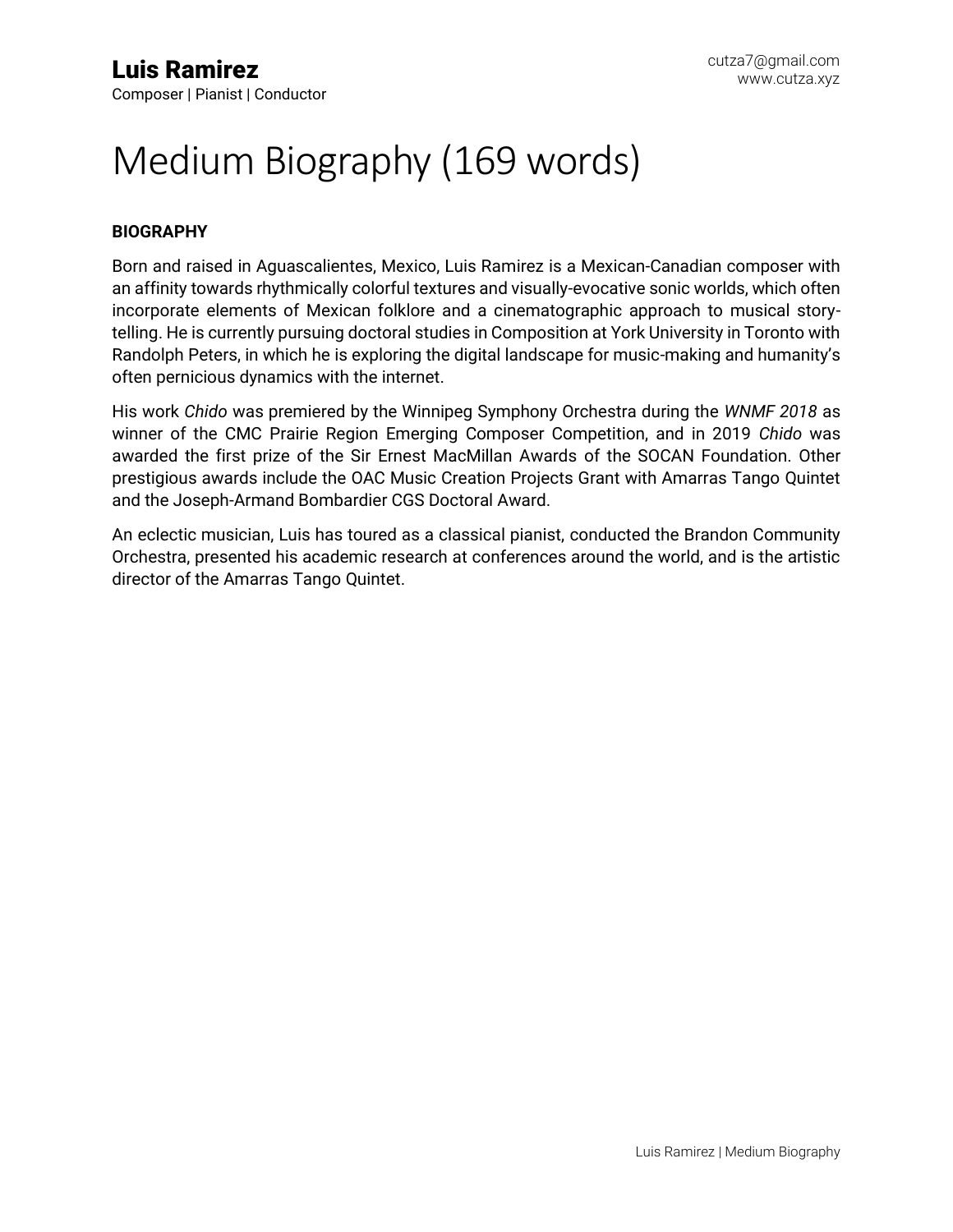### Medium Biography (169 words)

#### **BIOGRAPHY**

Born and raised in Aguascalientes, Mexico, Luis Ramirez is a Mexican-Canadian composer with an affinity towards rhythmically colorful textures and visually-evocative sonic worlds, which often incorporate elements of Mexican folklore and a cinematographic approach to musical storytelling. He is currently pursuing doctoral studies in Composition at York University in Toronto with Randolph Peters, in which he is exploring the digital landscape for music-making and humanity's often pernicious dynamics with the internet.

His work *Chido* was premiered by the Winnipeg Symphony Orchestra during the *WNMF 2018* as winner of the CMC Prairie Region Emerging Composer Competition, and in 2019 *Chido* was awarded the first prize of the Sir Ernest MacMillan Awards of the SOCAN Foundation. Other prestigious awards include the OAC Music Creation Projects Grant with Amarras Tango Quintet and the Joseph-Armand Bombardier CGS Doctoral Award.

An eclectic musician, Luis has toured as a classical pianist, conducted the Brandon Community Orchestra, presented his academic research at conferences around the world, and is the artistic director of the Amarras Tango Quintet.